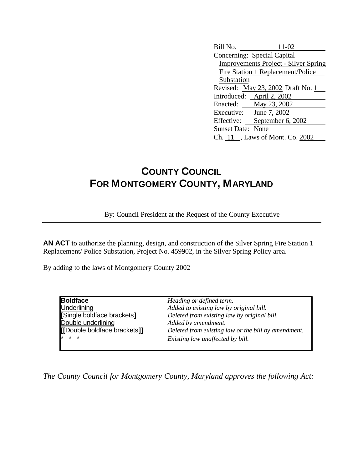| Bill No.<br>11-02                           |  |  |
|---------------------------------------------|--|--|
| Concerning: Special Capital                 |  |  |
| <b>Improvements Project - Silver Spring</b> |  |  |
| Fire Station 1 Replacement/Police           |  |  |
| Substation                                  |  |  |
| Revised: May 23, 2002 Draft No. 1           |  |  |
| Introduced: April 2, 2002                   |  |  |
| Enacted: May 23, 2002                       |  |  |
| Executive: June 7, 2002                     |  |  |
| Effective: September 6, 2002                |  |  |
| <b>Sunset Date: None</b>                    |  |  |
| Ch. 11, Laws of Mont. Co. 2002              |  |  |

## **COUNTY COUNCIL FOR MONTGOMERY COUNTY, MARYLAND**

By: Council President at the Request of the County Executive

**AN ACT** to authorize the planning, design, and construction of the Silver Spring Fire Station 1 Replacement/ Police Substation, Project No. 459902, in the Silver Spring Policy area.

By adding to the laws of Montgomery County 2002

**Boldface** *Heading or defined term.* Double underlining *Added by amendment.*

Underlining *Added to existing law by original bill.* **[**Single boldface brackets**]** *Deleted from existing law by original bill.* **[[**Double boldface brackets**]]** *Deleted from existing law or the bill by amendment.* \* \* \* *Existing law unaffected by bill.*

*The County Council for Montgomery County, Maryland approves the following Act:*